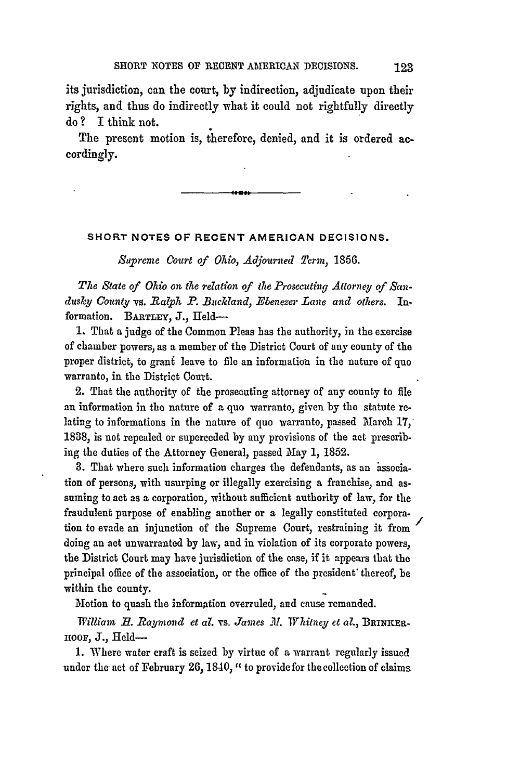its jurisdiction, can the court, **by** indirection, adjudicate upon their rights, and thus do indirectly what it could not rightfully directly do ? I think not.

The present motion is, therefore, denied, and it is ordered accordingly.

## **SHORT NOTES OF RECENT AMERICAN DECISIONS.**

*Supreme Court of Ohio, Adjourned Term,* 1856.

*The State of Ohio on the relation of the Prosecuting Attorney, of San*dusky County vs. Ralph P. Buckland, Ebenezer Lane and others. Information. BARTLEY, J., Held-

1. That a judge of the Common Pleas has the authority, in the exercise of chamber powers, as a member of the District Court of any county of the proper district, to grant leave to file an information in the nature of quo warranto, in the District Court.

2. That the authority of the prosecuting attorney of any county to file an information in the nature of a quo warranto, given by the statute relating to informations in the nature of quo warranto, passed March 17, 1838, is not repealed or superceded by any provisions of the act prescribing the duties of the Attorney General, passed May 1, 1852.

3. That where such information charges the defendants, as an issociation of persons, with usurping or illegally exercising a franchise, and assuming to act as a corporation, without sufficient authority of law, for the fraudulent purpose of enabling another or a legally constituted corporation to evade an injunction of the Supreme Court, restraining it from doing an act unwarranted **by** law, and in violation of its corporate powers, the District Court may have jurisdiction of the case, if it appears that the principal office of the association, or the office of the president' thereof, be within the county.

Motion to quash the information overruled, and cause remanded.

*William H. Raymond et al. vs. James M. Whitney et al., BRINKER*noor, **J.,** field-

1. Where water craft is seized by virtue of a warrant regularly issued under the act of February 26, 1840, " to provide for the collection of claims

123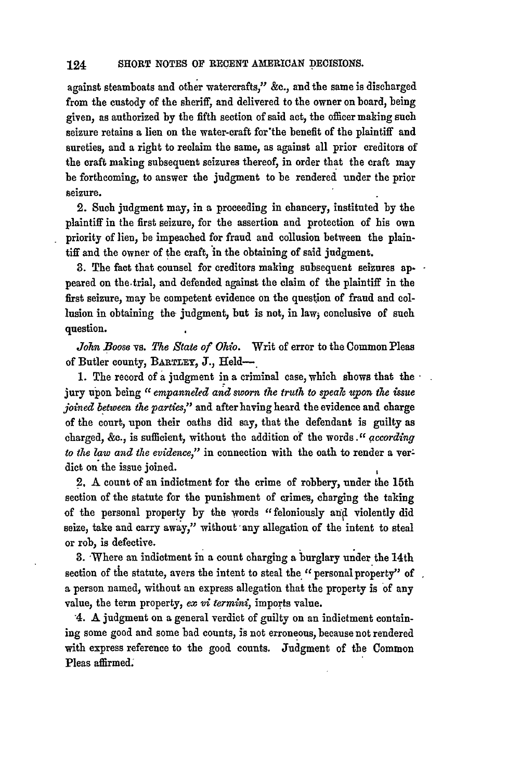against steamboats and other watercrafts," **&c.,** and the same is discharged from the custody of the sheriff, and delivered to the owner on board, being given, as authorized **by** the fifth section of said act, the officer making such seizure retains a lien on the water-craft for the benefit of the plaintiff and sureties, and a right to reclaim the same, as against all prior creditors of the craft making subsequent seizures thereof, in order that the craft may be forthcoming, to answer the judgment to be rendered under the prior seizure.

2. Such judgment may, in a proceeding in chancery, instituted **by** the plaintiff in the first seizure, for the assertion and protection of his own priority of lien, be impeached for fraud and collusion between the plaintiff and the owner of the craft, **in** the obtaining of said judgment.

**3.** The fact that counsel for creditors making subsequent seizures **ap-.** peared on the-trial, and defended against the claim of the plaintiff in the first seizure, may be competent evidence on the question of fraud and collusion in obtaining the judgment, but is not, in law, conclusive of such question.

*John Boose* vs. *The State of Ohio.* Writ of error to the Common Pleas of Butler county, **BARTLEY J.,** Held-

**1.** The record of a judgment in a criminal case, which shows that the  jury upon being *"1 empanneled and sworn the truth to speak upon the issue joined between the parties,"* and after having heard the evidence and charge of the court, upon their oaths did say, that the defendant is guilty as charged, **&c.,** is suficient, without the addition of the words *." according to the law and the evidence,"* in connection with the oath to render a verdict on the issue joined.

**2.** A count of an indictment for the crime of robbery, under the 15th section of the statute for the punishment of crimes, charging the taking of the personal property **by** the words "feloniously **and** violently did seize, take and carry away," without any allegation of the intent to steal or rob, is defective.

**3.** 'Where an indictment in a count charging a burglary under the 14th section of the statute, avers the intent to steal the " personal property" of a person named, without an express allegation that the property is of any value, the term property, ex *vi termini,* imports value.

4. **A** judgment on a general verdict of guilty on an indictment containing some good and some bad counts, is not erroneous, because not rendered with express reference to the good counts. Judgment of the Common Pleas affirmed.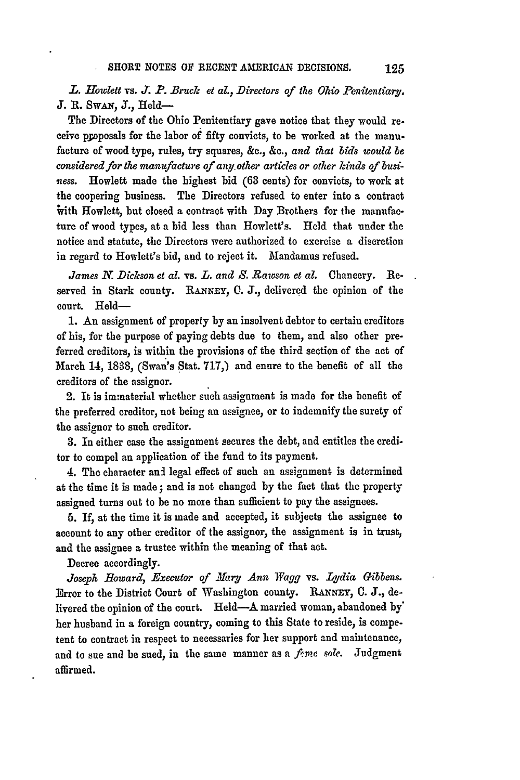L. Howlett **vs. J. P.** Bruck et al., Directors of the Ohio Penitentiary. **J. R.** SwAN, **J.,** Held-

The Directors of the Ohio Penitentiary gave notice that they would receive proposals for the labor of fifty convicts, to be worked at the manufacture of wood type, rules, try squares, &e., **&c.,** *and that bids would be considered for the manu/acture of anyother artiles or other kinds of business.* Howlett made the highest bid (63 cents) for convicts, to work at the coopering business. The Directors refused to enter into a contract with Howlett, but closed a contract with Day Brothers for the manufacture of wood types, at a bid less than Howlett's. Held that under the notice and statute, the Directors were authorized to exercise a discretion in regard to Howlett's bid, and to reject it. Mandamus refused.

*James N. Dickson et al.* vs. *L. and S. .Rawson et al.* Chancery. Reserved in Stark county. **RANNEY, C. J.,** delivered the opinion of the court. Held-

1. **An** assignment of property **by** an insolvent debtor to certain creditors of his, for the purpose of paying debts due to them, and also other preferred creditors, is within the provisions of the third section of the act of March 14, 1838, (Swan's Stat. 717,) and enure to the benefit of all the creditors of the assignor.

2. It is immaterial whether such assignment is made for the benefit of the preferred creditor, not being an assignee, or to indemnify the surety of the assignor to such creditor.

**3.** In either case the assignment secures the debt, and entitles the creditor to compel an application of ihe fund to its payment.

4. The character **ani** legal effect of such an assignment is determined at the time it is made; and is not changed by the fact that the property assigned turns out to be no more than sufficient to **pay** the assignees.

**5.** If, at the time it is made and accepted, it subjects the assignee to account to any other creditor of the assignor, the assignment is in trust, and the assignee a trustee within the meaning of that act.

Decree accordingly.

Joseph Howard, Executor of Mary Ann Wagg vs. Lydia Gibbens. Error to the District Court of Washington county. **RANNEY, C. J.,** delivered the opinion of the court. Held-A married woman, abandoned **by'** her husband in a foreign country, coming to this State to reside, is competent to contract in respect to necessaries for her support and maintenance, and to sue and be sued, in the same manner as a *feme sole*. Judgment affirmed.

125